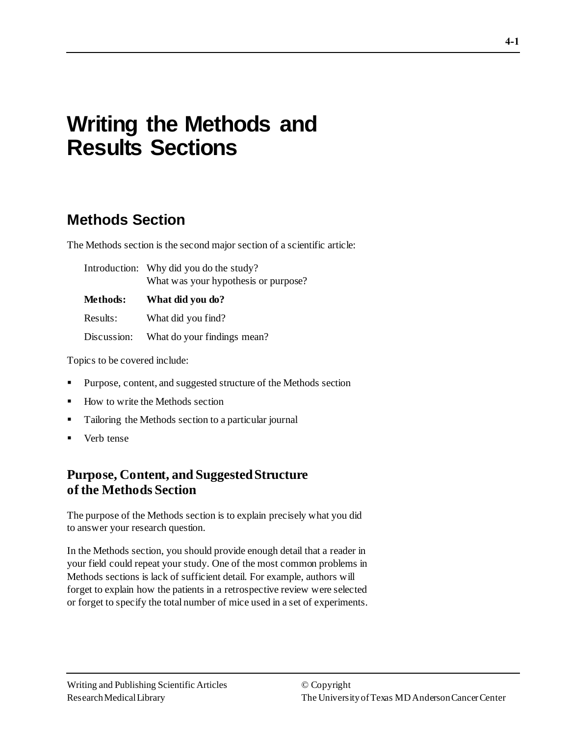# **Writing the Methods and Results Sections**

# **Methods Section**

The Methods section is the second major section of a scientific article:

|             | Introduction: Why did you do the study?<br>What was your hypothesis or purpose? |  |  |
|-------------|---------------------------------------------------------------------------------|--|--|
| Methods:    | What did you do?                                                                |  |  |
| Results:    | What did you find?                                                              |  |  |
| Discussion: | What do your findings mean?                                                     |  |  |

Topics to be covered include:

- Purpose, content, and suggested structure of the Methods section
- How to write the Methods section
- Tailoring the Methods section to a particular journal
- Verb tense

# **Purpose, Content, and Suggested Structure of the Methods Section**

The purpose of the Methods section is to explain precisely what you did to answer your research question.

In the Methods section, you should provide enough detail that a reader in your field could repeat your study. One of the most common problems in Methods sections is lack of sufficient detail. For example, authors will forget to explain how the patients in a retrospective review were selected or forget to specify the total number of mice used in a set of experiments.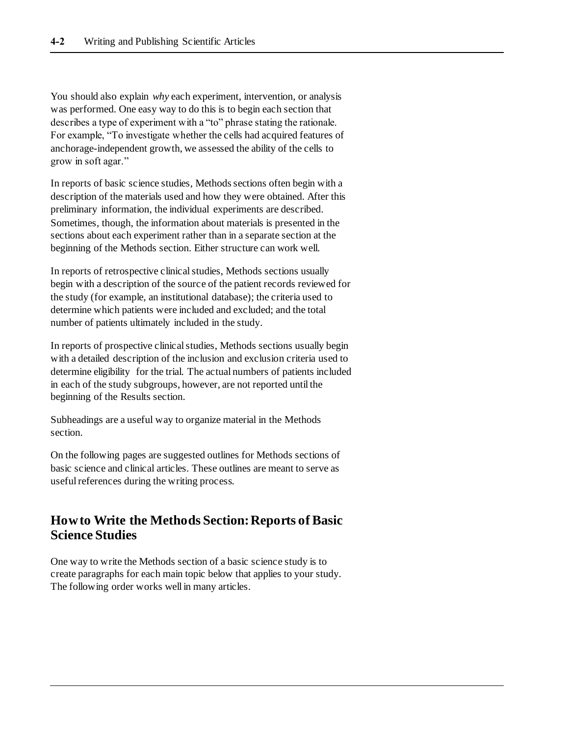You should also explain *why* each experiment, intervention, or analysis was performed. One easy way to do this is to begin each section that describes a type of experiment with a "to" phrase stating the rationale. For example, "To investigate whether the cells had acquired features of anchorage-independent growth, we assessed the ability of the cells to grow in soft agar."

In reports of basic science studies, Methods sections often begin with a description of the materials used and how they were obtained. After this preliminary information, the individual experiments are described. Sometimes, though, the information about materials is presented in the sections about each experiment rather than in a separate section at the beginning of the Methods section. Either structure can work well.

In reports of retrospective clinical studies, Methods sections usually begin with a description of the source of the patient records reviewed for the study (for example, an institutional database); the criteria used to determine which patients were included and excluded; and the total number of patients ultimately included in the study.

In reports of prospective clinical studies, Methods sections usually begin with a detailed description of the inclusion and exclusion criteria used to determine eligibility for the trial. The actual numbers of patients included in each of the study subgroups, however, are not reported until the beginning of the Results section.

Subheadings are a useful way to organize material in the Methods section.

On the following pages are suggested outlines for Methods sections of basic science and clinical articles. These outlines are meant to serve as useful references during the writing process.

# **How to Write the Methods Section: Reports of Basic Science Studies**

One way to write the Methods section of a basic science study is to create paragraphs for each main topic below that applies to your study. The following order works well in many articles.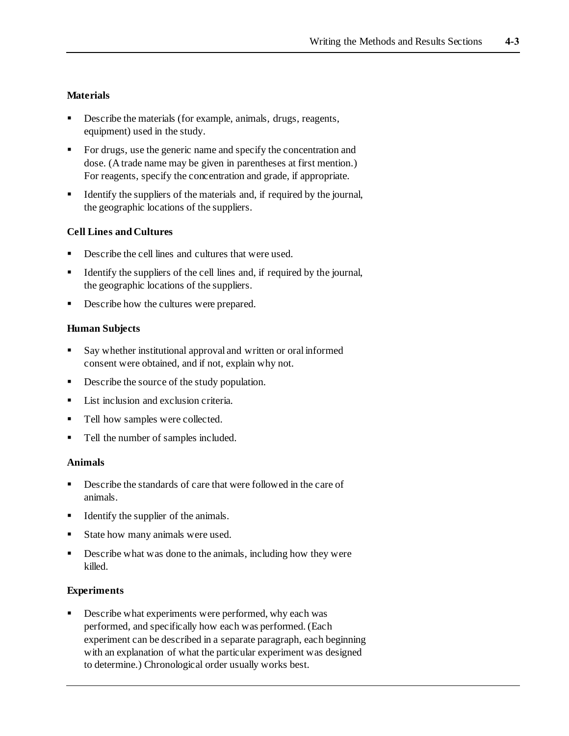#### **Materials**

- **•** Describe the materials (for example, animals, drugs, reagents, equipment) used in the study.
- For drugs, use the generic name and specify the concentration and dose. (A trade name may be given in parentheses at first mention.) For reagents, specify the concentration and grade, if appropriate.
- Identify the suppliers of the materials and, if required by the journal, the geographic locations of the suppliers.

#### **Cell Lines and Cultures**

- Describe the cell lines and cultures that were used.
- Identify the suppliers of the cell lines and, if required by the journal, the geographic locations of the suppliers.
- Describe how the cultures were prepared.

#### **Human Subjects**

- Say whether institutional approval and written or oral informed consent were obtained, and if not, explain why not.
- Describe the source of the study population.
- **EXECUTE:** List inclusion and exclusion criteria.
- Tell how samples were collected.
- Tell the number of samples included.

#### **Animals**

- Describe the standards of care that were followed in the care of animals.
- Identify the supplier of the animals.
- State how many animals were used.
- Describe what was done to the animals, including how they were killed.

#### **Experiments**

Describe what experiments were performed, why each was performed, and specifically how each was performed. (Each experiment can be described in a separate paragraph, each beginning with an explanation of what the particular experiment was designed to determine.) Chronological order usually works best.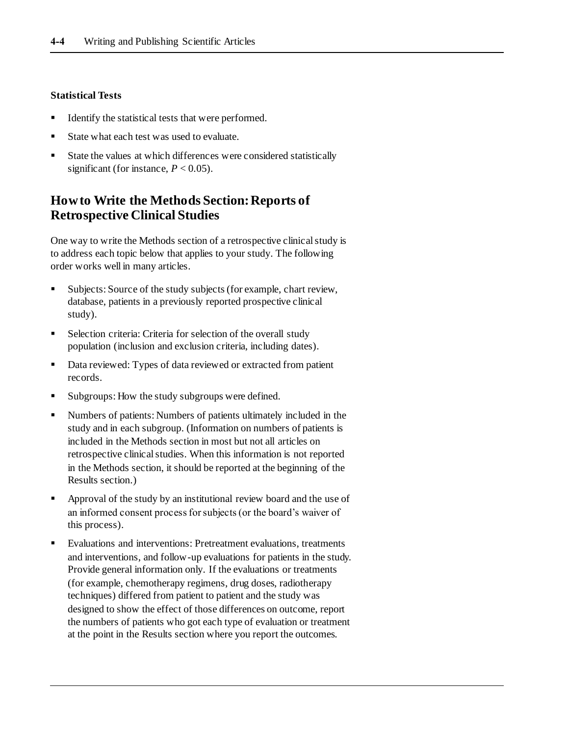#### **Statistical Tests**

- Identify the statistical tests that were performed.
- State what each test was used to evaluate.
- State the values at which differences were considered statistically significant (for instance,  $P < 0.05$ ).

# **How to Write the Methods Section: Reports of Retrospective Clinical Studies**

One way to write the Methods section of a retrospective clinical study is to address each topic below that applies to your study. The following order works well in many articles.

- Subjects: Source of the study subjects (for example, chart review, database, patients in a previously reported prospective clinical study).
- Selection criteria: Criteria for selection of the overall study population (inclusion and exclusion criteria, including dates).
- Data reviewed: Types of data reviewed or extracted from patient records.
- Subgroups: How the study subgroups were defined.
- Numbers of patients: Numbers of patients ultimately included in the study and in each subgroup. (Information on numbers of patients is included in the Methods section in most but not all articles on retrospective clinical studies. When this information is not reported in the Methods section, it should be reported at the beginning of the Results section.)
- **•** Approval of the study by an institutional review board and the use of an informed consent process for subjects (or the board's waiver of this process).
- Evaluations and interventions: Pretreatment evaluations, treatments and interventions, and follow-up evaluations for patients in the study. Provide general information only. If the evaluations or treatments (for example, chemotherapy regimens, drug doses, radiotherapy techniques) differed from patient to patient and the study was designed to show the effect of those differences on outcome, report the numbers of patients who got each type of evaluation or treatment at the point in the Results section where you report the outcomes.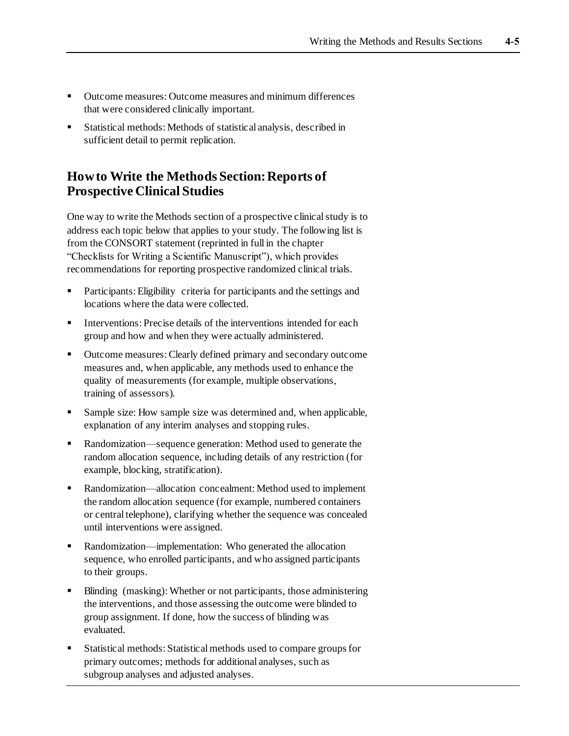- Outcome measures: Outcome measures and minimum differences that were considered clinically important.
- Statistical methods: Methods of statistical analysis, described in sufficient detail to permit replication.

# **How to Write the Methods Section: Reports of Prospective Clinical Studies**

One way to write the Methods section of a prospective clinical study is to address each topic below that applies to your study. The following list is from the CONSORT statement (reprinted in full in the chapter "Checklists for Writing a Scientific Manuscript"), which provides recommendations for reporting prospective randomized clinical trials.

- Participants: Eligibility criteria for participants and the settings and locations where the data were collected.
- Interventions: Precise details of the interventions intended for each group and how and when they were actually administered.
- Outcome measures: Clearly defined primary and secondary outcome measures and, when applicable, any methods used to enhance the quality of measurements (for example, multiple observations, training of assessors).
- Sample size: How sample size was determined and, when applicable, explanation of any interim analyses and stopping rules.
- Randomization—sequence generation: Method used to generate the random allocation sequence, including details of any restriction (for example, blocking, stratification).
- Randomization—allocation concealment: Method used to implement the random allocation sequence (for example, numbered containers or central telephone), clarifying whether the sequence was concealed until interventions were assigned.
- Randomization—implementation: Who generated the allocation sequence, who enrolled participants, and who assigned participants to their groups.
- Blinding (masking): Whether or not participants, those administering the interventions, and those assessing the outcome were blinded to group assignment. If done, how the success of blinding was evaluated.
- Statistical methods: Statistical methods used to compare groups for primary outcomes; methods for additional analyses, such as subgroup analyses and adjusted analyses.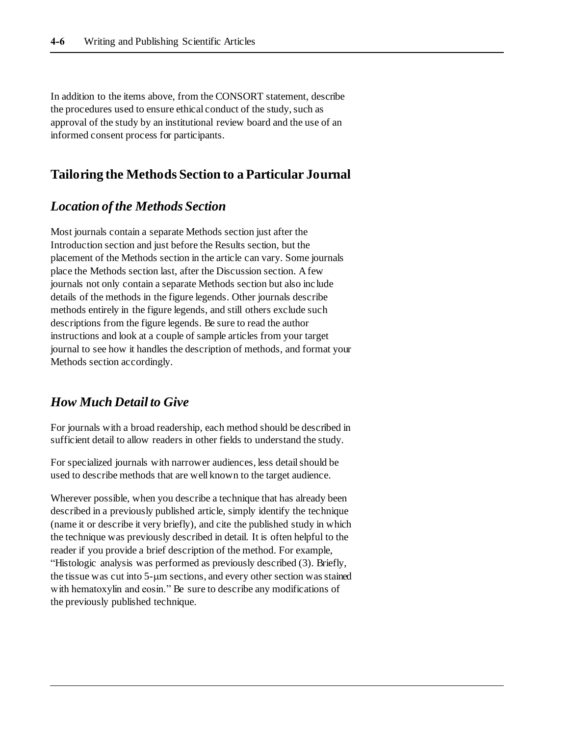In addition to the items above, from the CONSORT statement, describe the procedures used to ensure ethical conduct of the study, such as approval of the study by an institutional review board and the use of an informed consent process for participants.

## **Tailoring the Methods Section to a Particular Journal**

# *Location of the Methods Section*

Most journals contain a separate Methods section just after the Introduction section and just before the Results section, but the placement of the Methods section in the article can vary. Some journals place the Methods section last, after the Discussion section. A few journals not only contain a separate Methods section but also include details of the methods in the figure legends. Other journals describe methods entirely in the figure legends, and still others exclude such descriptions from the figure legends. Be sure to read the author instructions and look at a couple of sample articles from your target journal to see how it handles the description of methods, and format your Methods section accordingly.

# *How Much Detail to Give*

For journals with a broad readership, each method should be described in sufficient detail to allow readers in other fields to understand the study.

For specialized journals with narrower audiences, less detail should be used to describe methods that are well known to the target audience.

Wherever possible, when you describe a technique that has already been described in a previously published article, simply identify the technique (name it or describe it very briefly), and cite the published study in which the technique was previously described in detail. It is often helpful to the reader if you provide a brief description of the method. For example, "Histologic analysis was performed as previously described (3). Briefly, the tissue was cut into  $5-\mu m$  sections, and every other section was stained with hematoxylin and eosin." Be sure to describe any modifications of the previously published technique.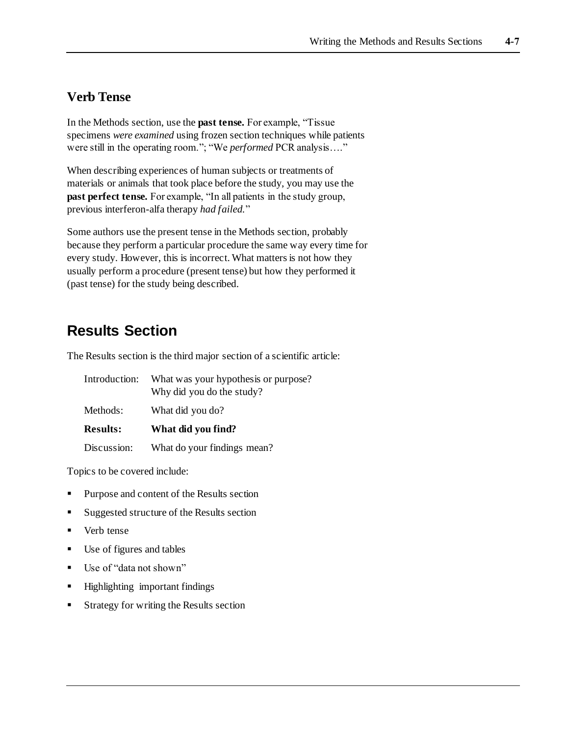# **Verb Tense**

In the Methods section, use the **past tense.** For example, "Tissue specimens *were examined* using frozen section techniques while patients were still in the operating room."; "We *performed* PCR analysis…."

When describing experiences of human subjects or treatments of materials or animals that took place before the study, you may use the **past perfect tense.** For example, "In all patients in the study group, previous interferon-alfa therapy *had failed.*"

Some authors use the present tense in the Methods section, probably because they perform a particular procedure the same way every time for every study. However, this is incorrect. What matters is not how they usually perform a procedure (present tense) but how they performed it (past tense) for the study being described.

# **Results Section**

The Results section is the third major section of a scientific article:

| Introduction:   | What was your hypothesis or purpose?<br>Why did you do the study? |  |  |
|-----------------|-------------------------------------------------------------------|--|--|
| Methods:        | What did you do?                                                  |  |  |
| <b>Results:</b> | What did you find?                                                |  |  |
| Discussion:     | What do your findings mean?                                       |  |  |

Topics to be covered include:

- Purpose and content of the Results section
- Suggested structure of the Results section
- Verb tense
- Use of figures and tables
- Use of "data not shown"
- Highlighting important findings
- Strategy for writing the Results section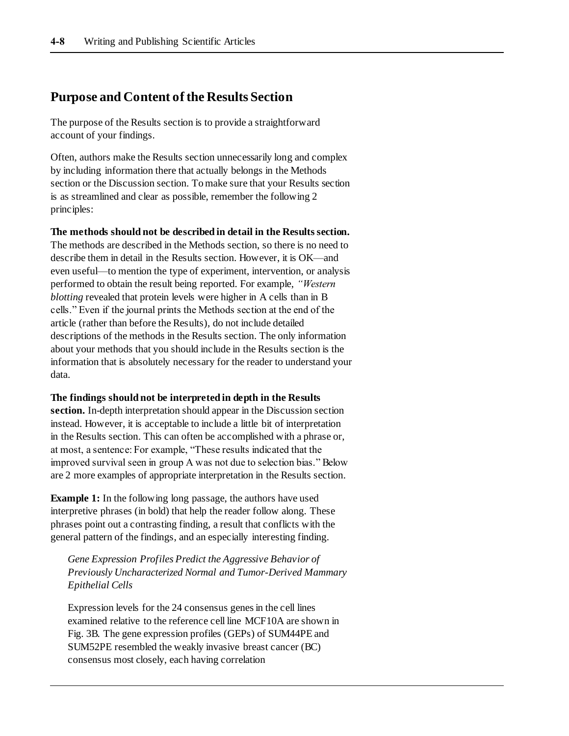## **Purpose and Content of the Results Section**

The purpose of the Results section is to provide a straightforward account of your findings.

Often, authors make the Results section unnecessarily long and complex by including information there that actually belongs in the Methods section or the Discussion section. To make sure that your Results section is as streamlined and clear as possible, remember the following 2 principles:

**The methods should not be described in detail in the Results section.**

The methods are described in the Methods section, so there is no need to describe them in detail in the Results section. However, it is OK—and even useful—to mention the type of experiment, intervention, or analysis performed to obtain the result being reported. For example, *"Western blotting* revealed that protein levels were higher in A cells than in B cells." Even if the journal prints the Methods section at the end of the article (rather than before the Results), do not include detailed descriptions of the methods in the Results section. The only information about your methods that you should include in the Results section is the information that is absolutely necessary for the reader to understand your data.

#### **The findings should not be interpreted in depth in the Results**

**section.** In-depth interpretation should appear in the Discussion section instead. However, it is acceptable to include a little bit of interpretation in the Results section. This can often be accomplished with a phrase or, at most, a sentence: For example, "These results indicated that the improved survival seen in group A was not due to selection bias." Below are 2 more examples of appropriate interpretation in the Results section.

**Example 1:** In the following long passage, the authors have used interpretive phrases (in bold) that help the reader follow along. These phrases point out a contrasting finding, a result that conflicts with the general pattern of the findings, and an especially interesting finding.

*Gene Expression Profiles Predict the Aggressive Behavior of Previously Uncharacterized Normal and Tumor-Derived Mammary Epithelial Cells*

Expression levels for the 24 consensus genes in the cell lines examined relative to the reference cell line MCF10A are shown in Fig. 3B. The gene expression profiles (GEPs) of SUM44PE and SUM52PE resembled the weakly invasive breast cancer (BC) consensus most closely, each having correlation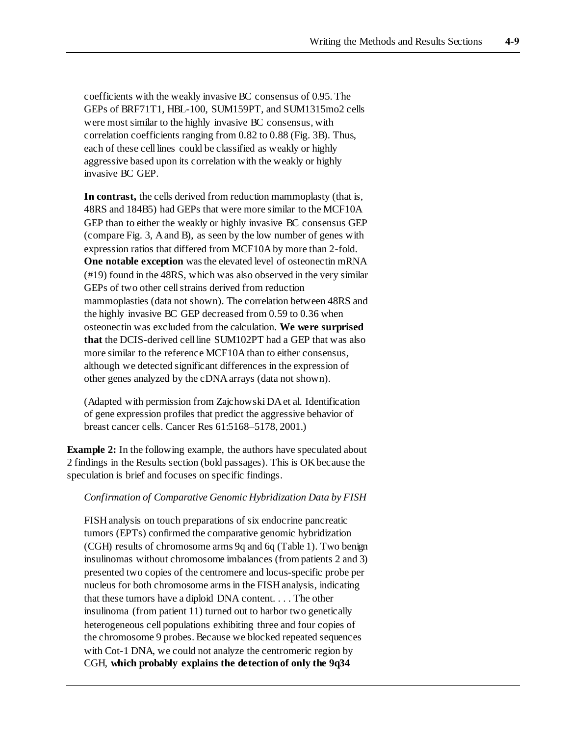coefficients with the weakly invasive BC consensus of 0.95. The GEPs of BRF71T1, HBL-100, SUM159PT, and SUM1315mo2 cells were most similar to the highly invasive BC consensus, with correlation coefficients ranging from 0.82 to 0.88 (Fig. 3B). Thus, each of these cell lines could be classified as weakly or highly aggressive based upon its correlation with the weakly or highly invasive BC GEP.

**In contrast,** the cells derived from reduction mammoplasty (that is, 48RS and 184B5) had GEPs that were more similar to the MCF10A GEP than to either the weakly or highly invasive BC consensus GEP (compare Fig. 3, A and B), as seen by the low number of genes with expression ratios that differed from MCF10A by more than 2-fold. **One notable exception** was the elevated level of osteonectin mRNA (#19) found in the 48RS, which was also observed in the very similar GEPs of two other cell strains derived from reduction mammoplasties (data not shown). The correlation between 48RS and the highly invasive BC GEP decreased from 0.59 to 0.36 when osteonectin was excluded from the calculation. **We were surprised that** the DCIS-derived cell line SUM102PT had a GEP that was also more similar to the reference MCF10A than to either consensus, although we detected significant differences in the expression of other genes analyzed by the cDNA arrays (data not shown).

(Adapted with permission from Zajchowski DA et al. Identification of gene expression profiles that predict the aggressive behavior of breast cancer cells. Cancer Res 61:5168–5178, 2001.)

**Example 2:** In the following example, the authors have speculated about 2 findings in the Results section (bold passages). This is OK because the speculation is brief and focuses on specific findings.

#### *Confirmation of Comparative Genomic Hybridization Data by FISH*

FISH analysis on touch preparations of six endocrine pancreatic tumors (EPTs) confirmed the comparative genomic hybridization (CGH) results of chromosome arms 9q and 6q (Table 1). Two benign insulinomas without chromosome imbalances (from patients 2 and 3) presented two copies of the centromere and locus-specific probe per nucleus for both chromosome arms in the FISH analysis, indicating that these tumors have a diploid DNA content. . . . The other insulinoma (from patient 11) turned out to harbor two genetically heterogeneous cell populations exhibiting three and four copies of the chromosome 9 probes. Because we blocked repeated sequences with Cot-1 DNA, we could not analyze the centromeric region by CGH, **which probably explains the detection of only the 9q34**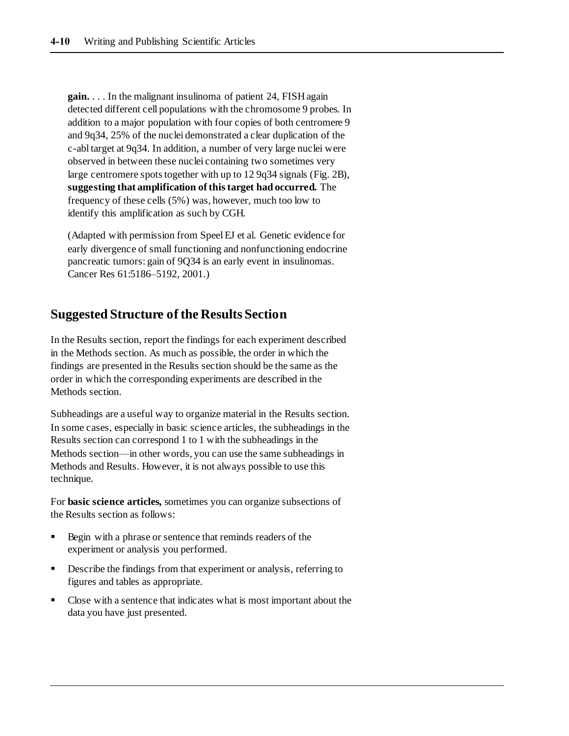**gain.** . . . In the malignant insulinoma of patient 24, FISH again detected different cell populations with the chromosome 9 probes. In addition to a major population with four copies of both centromere 9 and 9q34, 25% of the nuclei demonstrated a clear duplication of the c-abl target at 9q34. In addition, a number of very large nuclei were observed in between these nuclei containing two sometimes very large centromere spots together with up to 12 9q34 signals (Fig. 2B), **suggesting that amplification of this target had occurred.** The frequency of these cells (5%) was, however, much too low to identify this amplification as such by CGH.

(Adapted with permission from Speel EJ et al. Genetic evidence for early divergence of small functioning and nonfunctioning endocrine pancreatic tumors: gain of 9Q34 is an early event in insulinomas. Cancer Res 61:5186–5192, 2001.)

## **Suggested Structure of the Results Section**

In the Results section, report the findings for each experiment described in the Methods section. As much as possible, the order in which the findings are presented in the Results section should be the same as the order in which the corresponding experiments are described in the Methods section.

Subheadings are a useful way to organize material in the Results section. In some cases, especially in basic science articles, the subheadings in the Results section can correspond 1 to 1 with the subheadings in the Methods section—in other words, you can use the same subheadings in Methods and Results. However, it is not always possible to use this technique.

For **basic science articles,** sometimes you can organize subsections of the Results section as follows:

- Begin with a phrase or sentence that reminds readers of the experiment or analysis you performed.
- **•** Describe the findings from that experiment or analysis, referring to figures and tables as appropriate.
- Close with a sentence that indicates what is most important about the data you have just presented.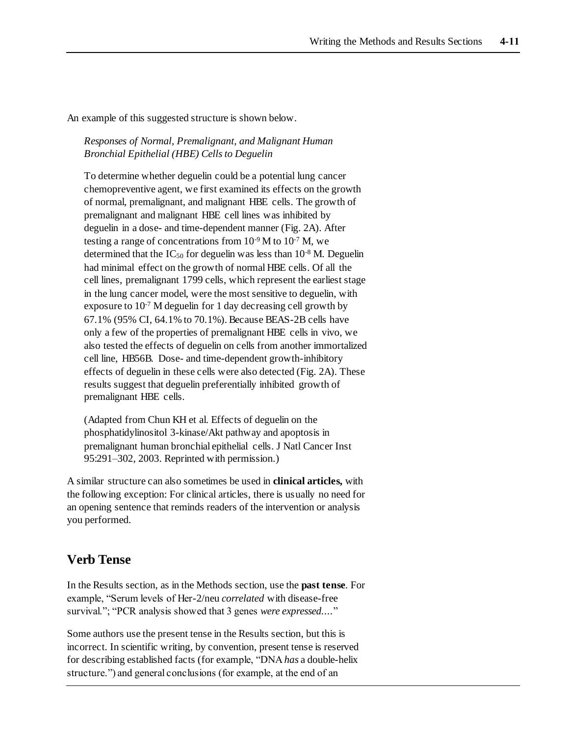An example of this suggested structure is shown below.

#### *Responses of Normal, Premalignant, and Malignant Human Bronchial Epithelial (HBE) Cells to Deguelin*

To determine whether deguelin could be a potential lung cancer chemopreventive agent, we first examined its effects on the growth of normal, premalignant, and malignant HBE cells*.* The growth of premalignant and malignant HBE cell lines was inhibited by deguelin in a dose- and time-dependent manner (Fig. 2A). After testing a range of concentrations from 10-9 M to 10-7 M*,* we determined that the  $IC_{50}$  for deguelin was less than  $10^{-8}$  M. Deguelin had minimal effect on the growth of normal HBE cells. Of all the cell lines, premalignant 1799 cells, which represent the earliest stage in the lung cancer model, were the most sensitive to deguelin, with exposure to  $10^{-7}$  M deguelin for 1 day decreasing cell growth by 67.1% (95% CI, 64.1% to 70.1%). Because BEAS-2B cells have only a few of the properties of premalignant HBE cells in vivo, we also tested the effects of deguelin on cells from another immortalized cell line, HB56B. Dose- and time-dependent growth-inhibitory effects of deguelin in these cells were also detected (Fig. 2A). These results suggest that deguelin preferentially inhibited growth of premalignant HBE cells.

(Adapted from Chun KH et al. Effects of deguelin on the phosphatidylinositol 3-kinase/Akt pathway and apoptosis in premalignant human bronchial epithelial cells. J Natl Cancer Inst 95:291–302, 2003. Reprinted with permission.)

A similar structure can also sometimes be used in **clinical articles,** with the following exception: For clinical articles, there is usually no need for an opening sentence that reminds readers of the intervention or analysis you performed.

# **Verb Tense**

In the Results section, as in the Methods section, use the **past tense**. For example, "Serum levels of Her-2/neu *correlated* with disease-free survival."; "PCR analysis showed that 3 genes *were expressed....*"

Some authors use the present tense in the Results section, but this is incorrect. In scientific writing, by convention, present tense is reserved for describing established facts (for example, "DNA *has* a double-helix structure.") and general conclusions (for example, at the end of an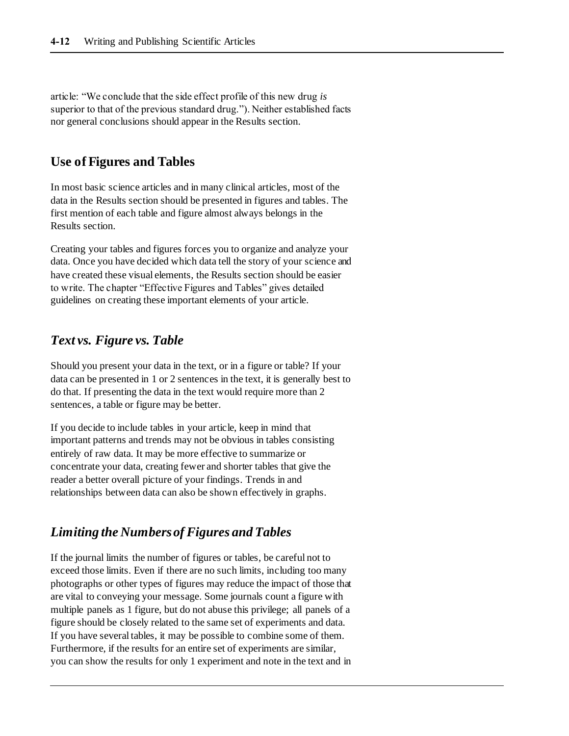article: "We conclude that the side effect profile of this new drug *is*  superior to that of the previous standard drug."). Neither established facts nor general conclusions should appear in the Results section.

## **Use of Figures and Tables**

In most basic science articles and in many clinical articles, most of the data in the Results section should be presented in figures and tables. The first mention of each table and figure almost always belongs in the Results section.

Creating your tables and figures forces you to organize and analyze your data. Once you have decided which data tell the story of your science and have created these visual elements, the Results section should be easier to write. The chapter "Effective Figures and Tables" gives detailed guidelines on creating these important elements of your article.

# *Text vs. Figure vs. Table*

Should you present your data in the text, or in a figure or table? If your data can be presented in 1 or 2 sentences in the text, it is generally best to do that. If presenting the data in the text would require more than 2 sentences, a table or figure may be better.

If you decide to include tables in your article, keep in mind that important patterns and trends may not be obvious in tables consisting entirely of raw data. It may be more effective to summarize or concentrate your data, creating fewer and shorter tables that give the reader a better overall picture of your findings. Trends in and relationships between data can also be shown effectively in graphs.

### *Limiting the Numbers of Figures and Tables*

If the journal limits the number of figures or tables, be careful not to exceed those limits. Even if there are no such limits, including too many photographs or other types of figures may reduce the impact of those that are vital to conveying your message. Some journals count a figure with multiple panels as 1 figure, but do not abuse this privilege; all panels of a figure should be closely related to the same set of experiments and data. If you have several tables, it may be possible to combine some of them. Furthermore, if the results for an entire set of experiments are similar, you can show the results for only 1 experiment and note in the text and in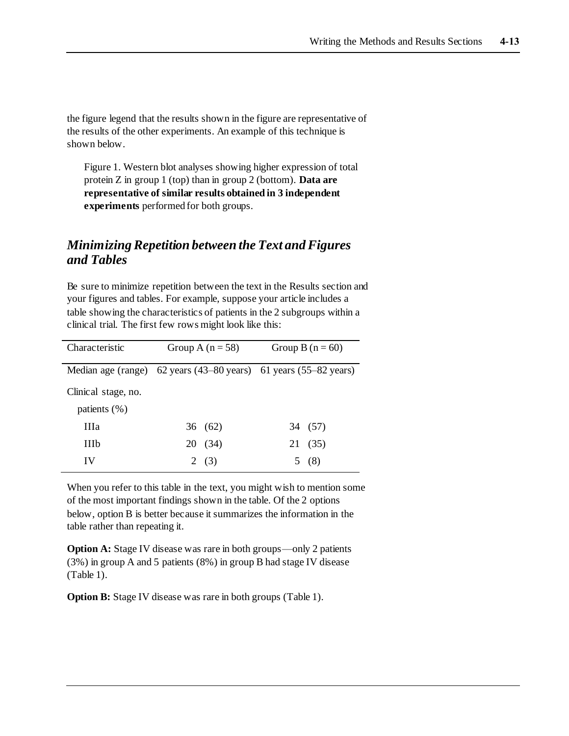the figure legend that the results shown in the figure are representative of the results of the other experiments. An example of this technique is shown below.

Figure 1. Western blot analyses showing higher expression of total protein Z in group 1 (top) than in group 2 (bottom). **Data are representative of similar results obtained in 3 independent experiments** performed for both groups.

## *Minimizing Repetition between the Text and Figures and Tables*

Be sure to minimize repetition between the text in the Results section and your figures and tables. For example, suppose your article includes a table showing the characteristics of patients in the 2 subgroups within a clinical trial. The first few rows might look like this:

| Characteristic      | Group A $(n=58)$                                                 |         | Group B $(n = 60)$ |         |
|---------------------|------------------------------------------------------------------|---------|--------------------|---------|
|                     | Median age (range) 62 years (43–80 years) 61 years (55–82 years) |         |                    |         |
| Clinical stage, no. |                                                                  |         |                    |         |
| patients $(\% )$    |                                                                  |         |                    |         |
| <b>IIIa</b>         |                                                                  | 36 (62) |                    | 34 (57) |
| <b>IIIb</b>         |                                                                  | 20 (34) |                    | 21 (35) |
| IV                  |                                                                  | 2(3)    |                    | (8)     |

When you refer to this table in the text, you might wish to mention some of the most important findings shown in the table. Of the 2 options below, option B is better because it summarizes the information in the table rather than repeating it.

**Option A:** Stage IV disease was rare in both groups—only 2 patients (3%) in group A and 5 patients (8%) in group B had stage IV disease (Table 1).

**Option B:** Stage IV disease was rare in both groups (Table 1).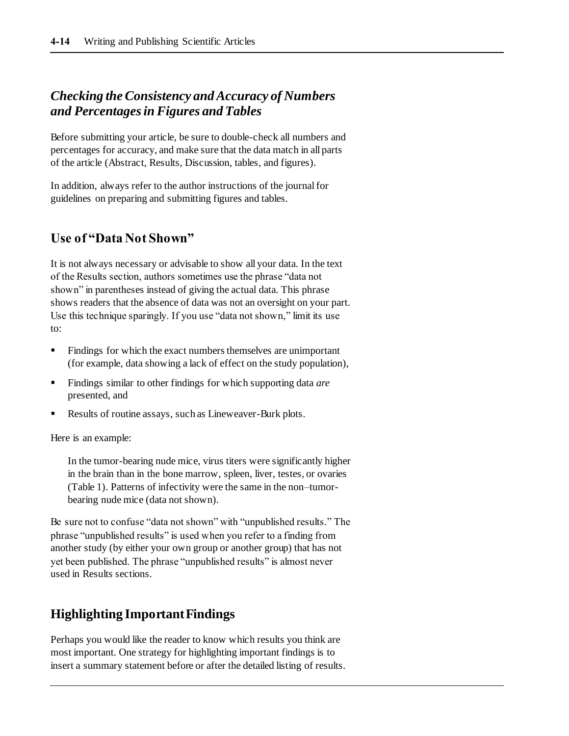# *Checking the Consistency and Accuracy of Numbers and Percentages in Figures and Tables*

Before submitting your article, be sure to double-check all numbers and percentages for accuracy, and make sure that the data match in all parts of the article (Abstract, Results, Discussion, tables, and figures).

In addition, always refer to the author instructions of the journal for guidelines on preparing and submitting figures and tables.

# **Use of "Data Not Shown"**

It is not always necessary or advisable to show all your data. In the text of the Results section, authors sometimes use the phrase "data not shown" in parentheses instead of giving the actual data. This phrase shows readers that the absence of data was not an oversight on your part. Use this technique sparingly. If you use "data not shown," limit its use to:

- Findings for which the exact numbers themselves are unimportant (for example, data showing a lack of effect on the study population),
- Findings similar to other findings for which supporting data *are* presented, and
- Results of routine assays, such as Lineweaver-Burk plots.

Here is an example:

In the tumor-bearing nude mice, virus titers were significantly higher in the brain than in the bone marrow, spleen, liver, testes, or ovaries (Table 1). Patterns of infectivity were the same in the non–tumorbearing nude mice (data not shown).

Be sure not to confuse "data not shown" with "unpublished results." The phrase "unpublished results" is used when you refer to a finding from another study (by either your own group or another group) that has not yet been published. The phrase "unpublished results" is almost never used in Results sections.

# **Highlighting Important Findings**

Perhaps you would like the reader to know which results you think are most important. One strategy for highlighting important findings is to insert a summary statement before or after the detailed listing of results.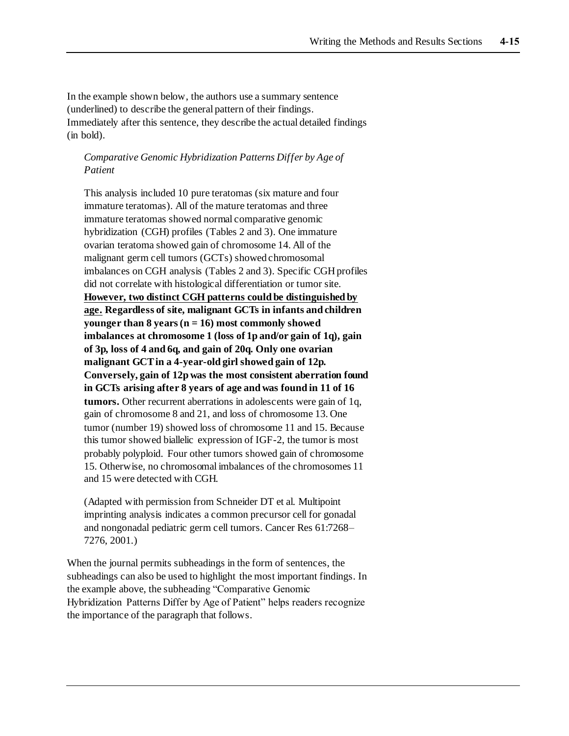In the example shown below, the authors use a summary sentence (underlined) to describe the general pattern of their findings. Immediately after this sentence, they describe the actual detailed findings (in bold).

#### *Comparative Genomic Hybridization Patterns Differ by Age of Patient*

This analysis included 10 pure teratomas (six mature and four immature teratomas). All of the mature teratomas and three immature teratomas showed normal comparative genomic hybridization (CGH) profiles (Tables 2 and 3). One immature ovarian teratoma showed gain of chromosome 14. All of the malignant germ cell tumors (GCTs) showed chromosomal imbalances on CGH analysis (Tables 2 and 3). Specific CGH profiles did not correlate with histological differentiation or tumor site. **However, two distinct CGH patterns could be distinguished by age. Regardless of site, malignant GCTs in infants and children younger than 8 years (n = 16) most commonly showed imbalances at chromosome 1 (loss of 1p and/or gain of 1q), gain of 3p, loss of 4 and 6q, and gain of 20q. Only one ovarian malignant GCT in a 4-year-old girl showed gain of 12p. Conversely, gain of 12p was the most consistent aberration found in GCTs arising after 8 years of age and was found in 11 of 16 tumors.** Other recurrent aberrations in adolescents were gain of 1q, gain of chromosome 8 and 21, and loss of chromosome 13. One tumor (number 19) showed loss of chromosome 11 and 15. Because this tumor showed biallelic expression of IGF-2, the tumor is most probably polyploid. Four other tumors showed gain of chromosome 15. Otherwise, no chromosomal imbalances of the chromosomes 11 and 15 were detected with CGH.

(Adapted with permission from Schneider DT et al. Multipoint imprinting analysis indicates a common precursor cell for gonadal and nongonadal pediatric germ cell tumors. Cancer Res 61:7268– 7276, 2001.)

When the journal permits subheadings in the form of sentences, the subheadings can also be used to highlight the most important findings. In the example above, the subheading "Comparative Genomic Hybridization Patterns Differ by Age of Patient" helps readers recognize the importance of the paragraph that follows.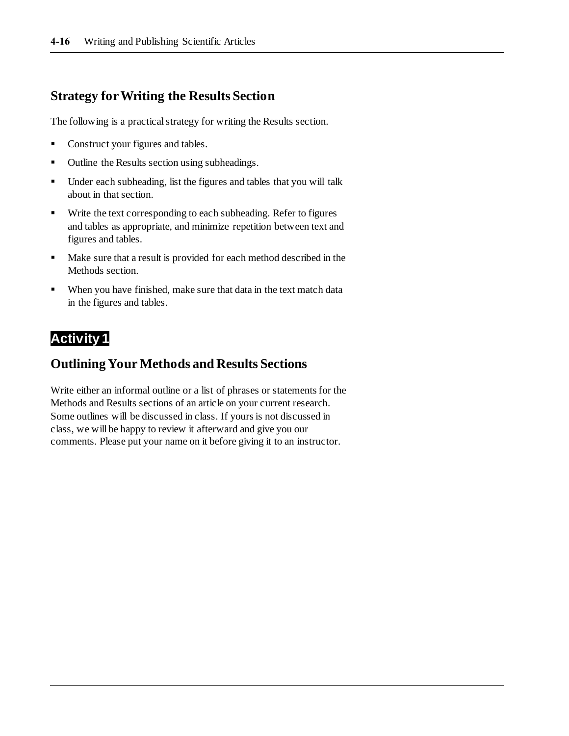# **Strategy for Writing the Results Section**

The following is a practical strategy for writing the Results section.

- Construct your figures and tables.
- Outline the Results section using subheadings.
- Under each subheading, list the figures and tables that you will talk about in that section.
- Write the text corresponding to each subheading. Refer to figures and tables as appropriate, and minimize repetition between text and figures and tables.
- Make sure that a result is provided for each method described in the Methods section.
- When you have finished, make sure that data in the text match data in the figures and tables.

# **Activity 1**

# **Outlining Your Methods and Results Sections**

Write either an informal outline or a list of phrases or statements for the Methods and Results sections of an article on your current research. Some outlines will be discussed in class. If yours is not discussed in class, we will be happy to review it afterward and give you our comments. Please put your name on it before giving it to an instructor.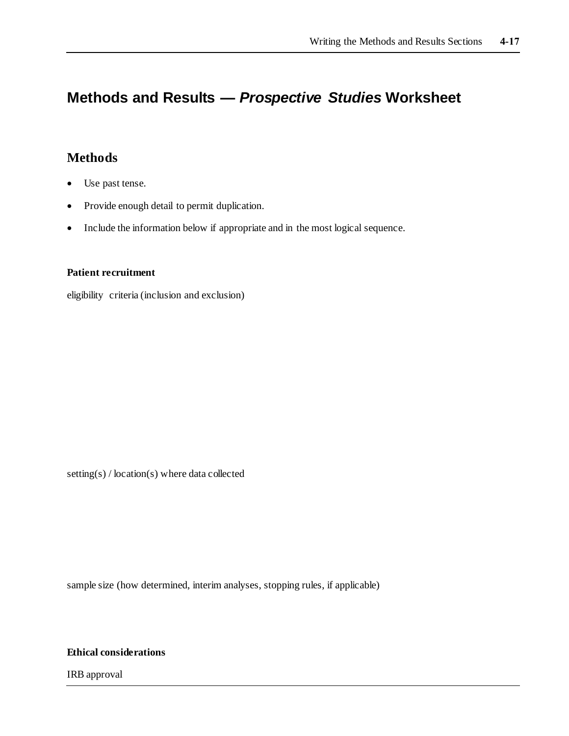# **Methods and Results —** *Prospective Studies* **Worksheet**

# **Methods**

- Use past tense.
- Provide enough detail to permit duplication.
- Include the information below if appropriate and in the most logical sequence.

#### **Patient recruitment**

eligibility criteria (inclusion and exclusion)

setting(s) / location(s) where data collected

sample size (how determined, interim analyses, stopping rules, if applicable)

**Ethical considerations**

IRB approval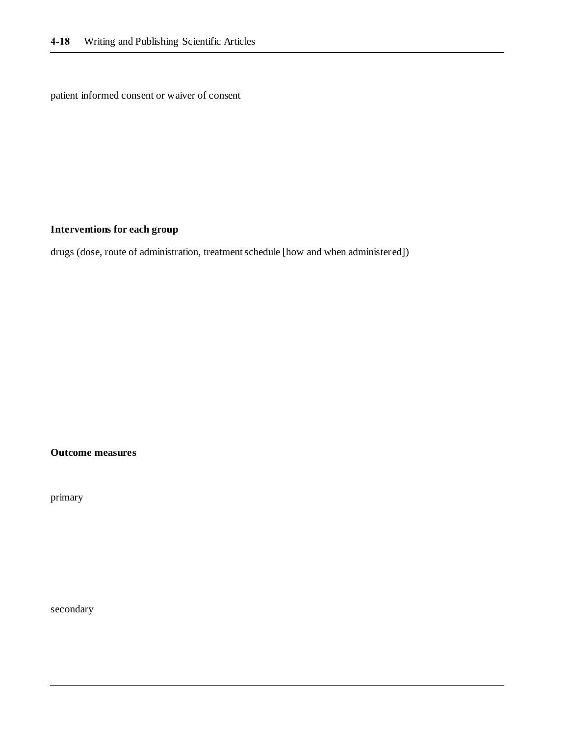patient informed consent or waiver of consent

#### **Interventions for each group**

drugs (dose, route of administration, treatment schedule [how and when administered])

**Outcome measures**

primary

secondary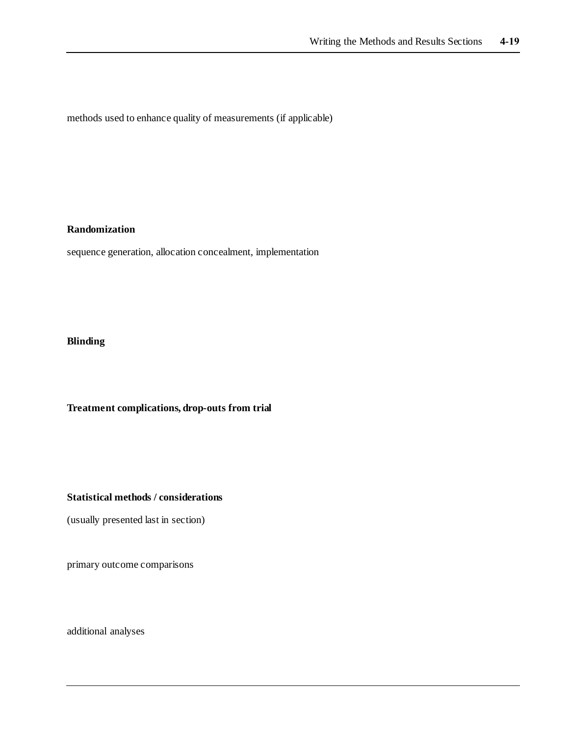methods used to enhance quality of measurements (if applicable)

#### **Randomization**

sequence generation, allocation concealment, implementation

### **Blinding**

**Treatment complications, drop-outs from trial**

#### **Statistical methods / considerations**

(usually presented last in section)

primary outcome comparisons

additional analyses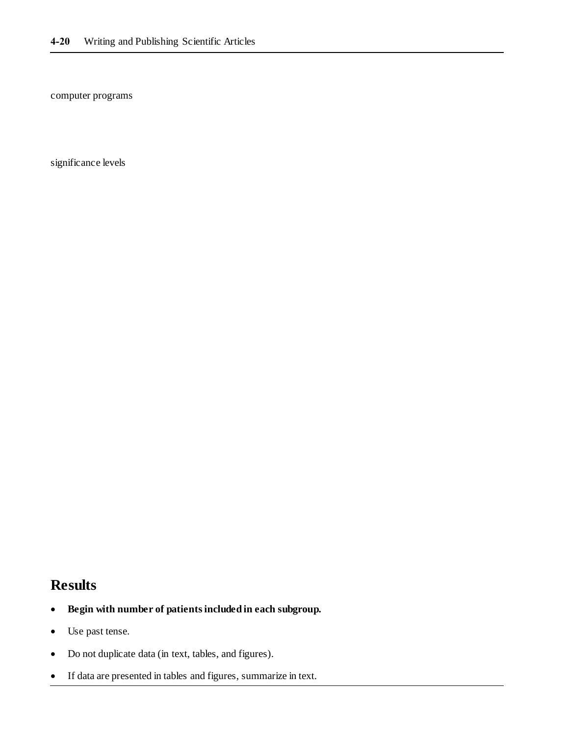computer programs

significance levels

# **Results**

- **Begin with number of patients included in each subgroup.**
- Use past tense.
- Do not duplicate data (in text, tables, and figures).
- If data are presented in tables and figures, summarize in text.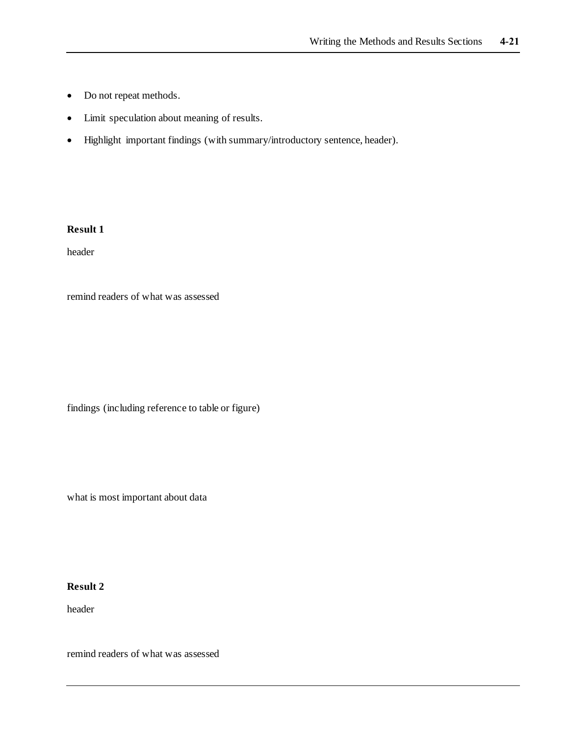- Do not repeat methods.
- Limit speculation about meaning of results.
- Highlight important findings (with summary/introductory sentence, header).

header

remind readers of what was assessed

findings (including reference to table or figure)

what is most important about data

#### **Result 2**

header

remind readers of what was assessed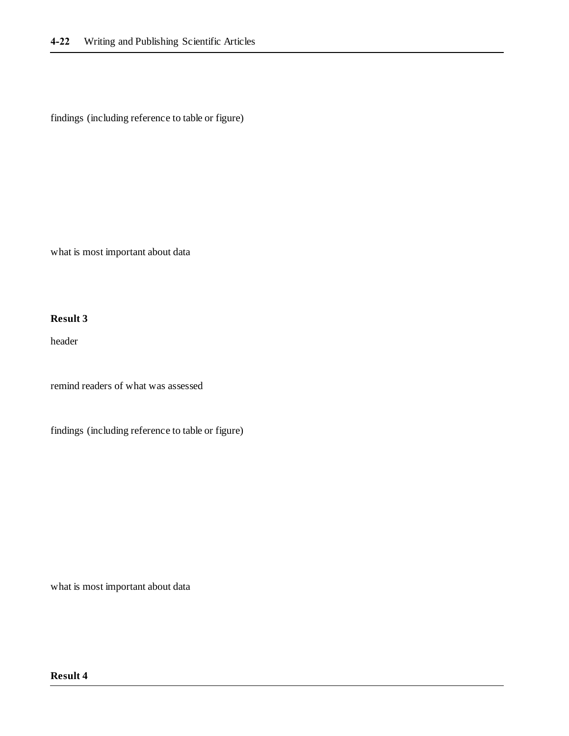findings (including reference to table or figure)

what is most important about data

#### **Result 3**

header

remind readers of what was assessed

findings (including reference to table or figure)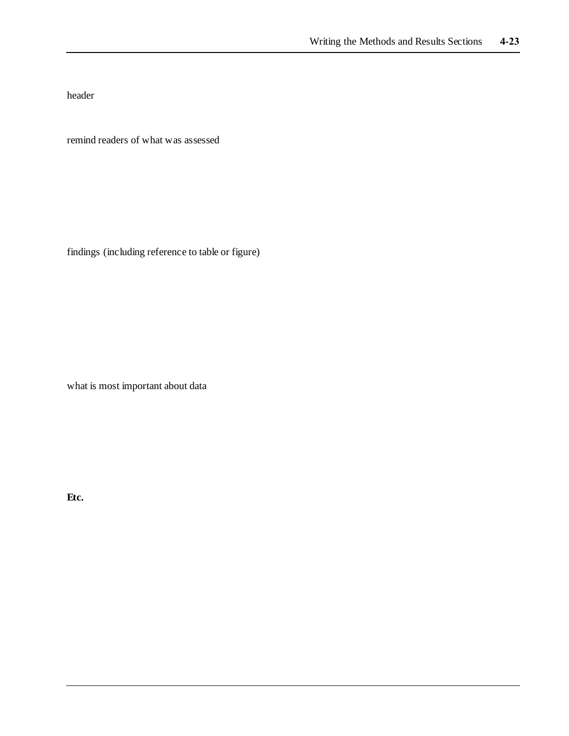header

remind readers of what was assessed

findings (including reference to table or figure)

what is most important about data

**Etc.**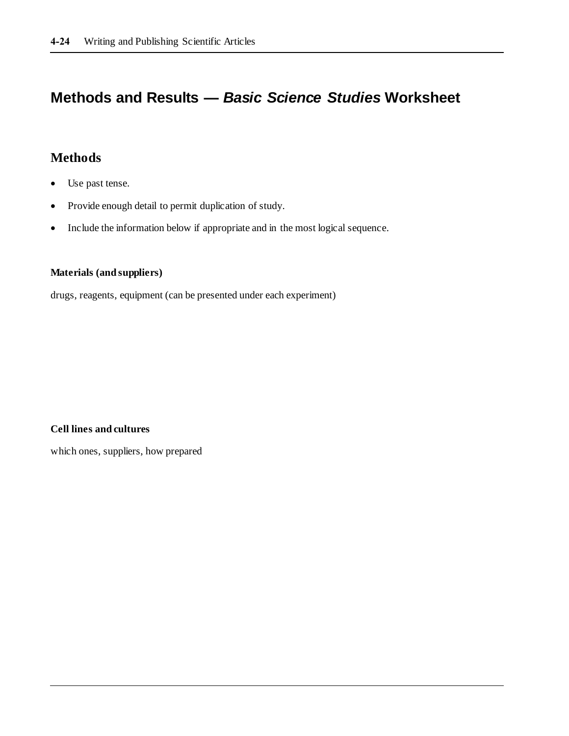# **Methods and Results —** *Basic Science Studies* **Worksheet**

# **Methods**

- Use past tense.
- Provide enough detail to permit duplication of study.
- Include the information below if appropriate and in the most logical sequence.

#### **Materials (and suppliers)**

drugs, reagents, equipment (can be presented under each experiment)

**Cell lines and cultures**

which ones, suppliers, how prepared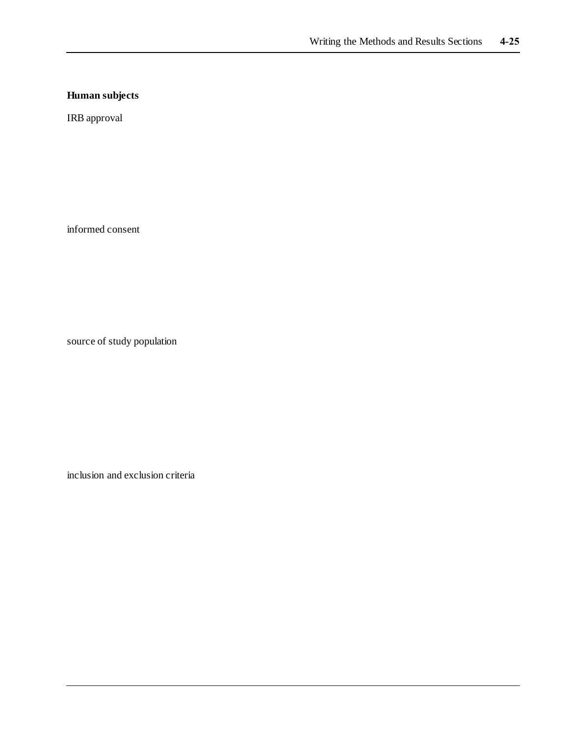## **Human subjects**

IRB approval

informed consent

source of study population

inclusion and exclusion criteria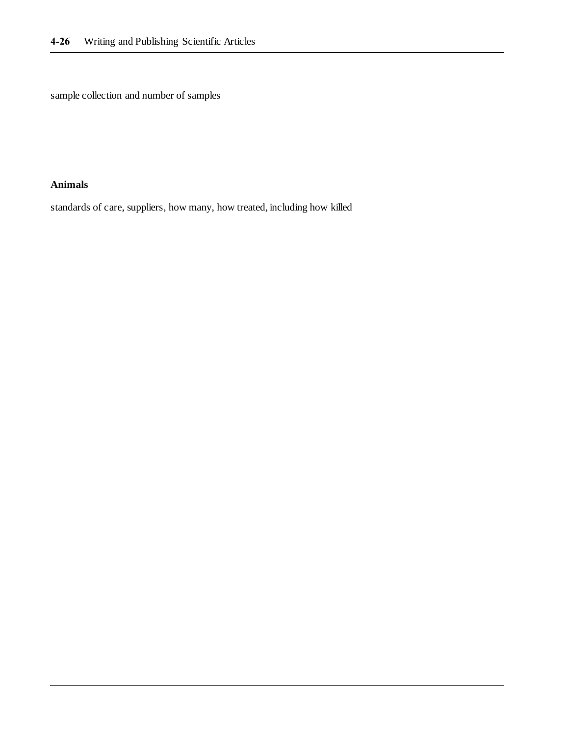sample collection and number of samples

### **Animals**

standards of care, suppliers, how many, how treated, including how killed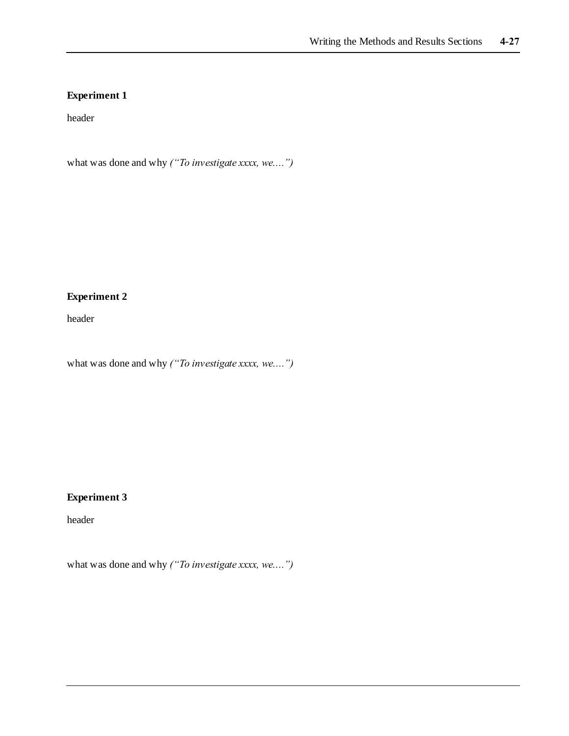header

what was done and why *("To investigate xxxx, we....")*

### **Experiment 2**

header

what was done and why *("To investigate xxxx, we....")*

## **Experiment 3**

header

what was done and why *("To investigate xxxx, we....")*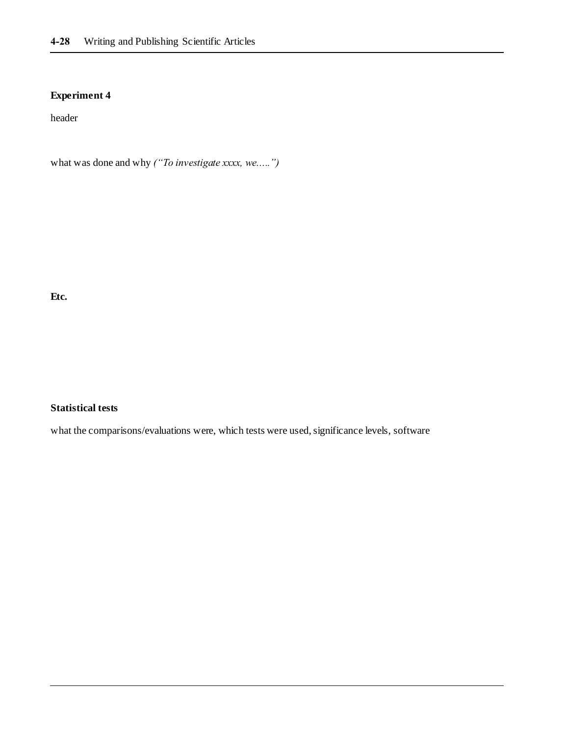header

what was done and why *("To investigate xxxx, we.....")*

**Etc.**

#### **Statistical tests**

what the comparisons/evaluations were, which tests were used, significance levels, software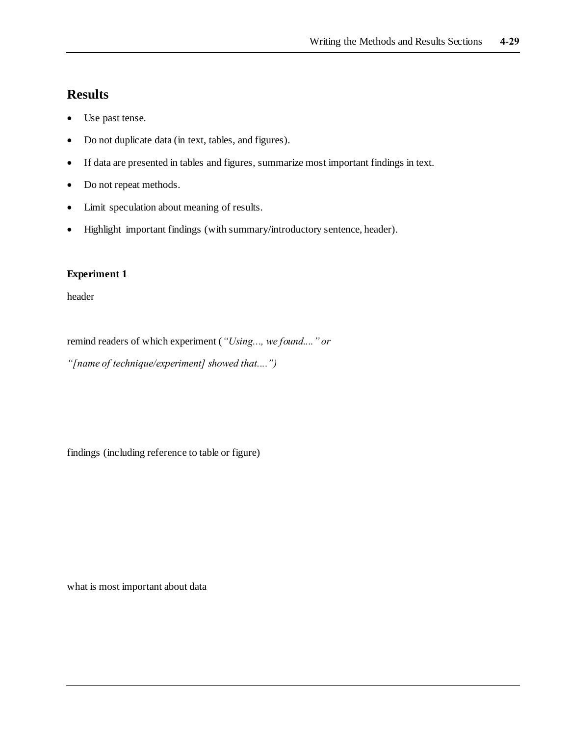- Use past tense.
- Do not duplicate data (in text, tables, and figures).
- If data are presented in tables and figures, summarize most important findings in text.
- Do not repeat methods.
- Limit speculation about meaning of results.
- Highlight important findings (with summary/introductory sentence, header).

#### **Experiment 1**

header

remind readers of which experiment (*"Using..., we found...." or* 

*"[name of technique/experiment] showed that....")*

findings (including reference to table or figure)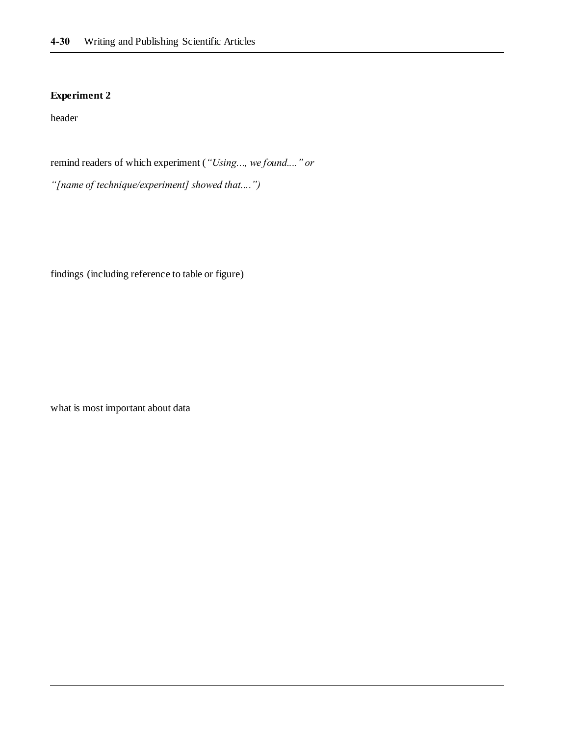header

remind readers of which experiment (*"Using..., we found...." or* 

*"[name of technique/experiment] showed that....")*

findings (including reference to table or figure)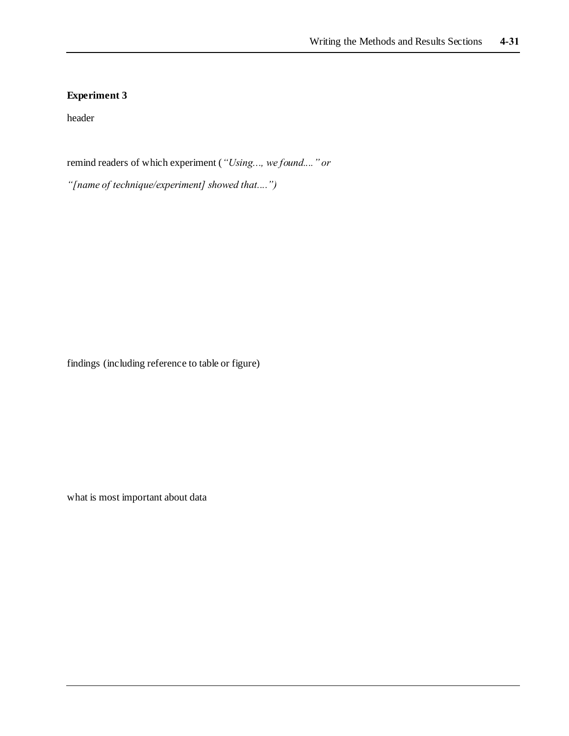header

remind readers of which experiment (*"Using..., we found...." or* 

*"[name of technique/experiment] showed that....")*

findings (including reference to table or figure)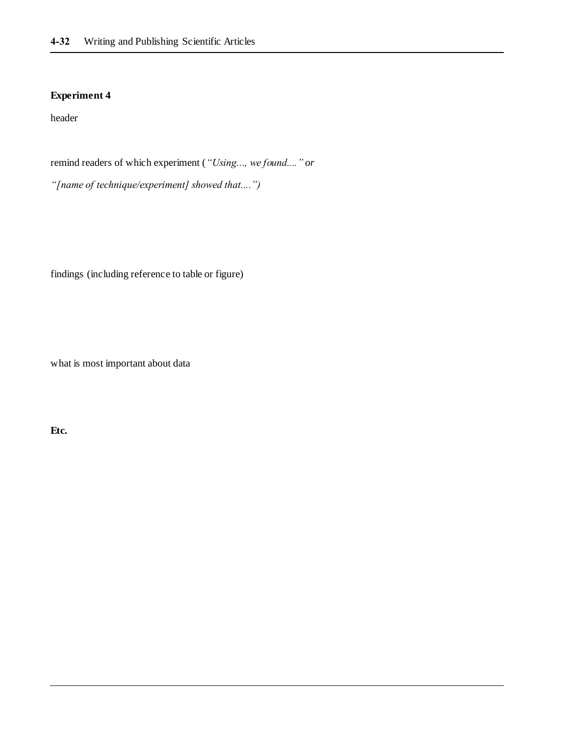header

remind readers of which experiment (*"Using..., we found...." or* 

*"[name of technique/experiment] showed that....")*

findings (including reference to table or figure)

what is most important about data

**Etc.**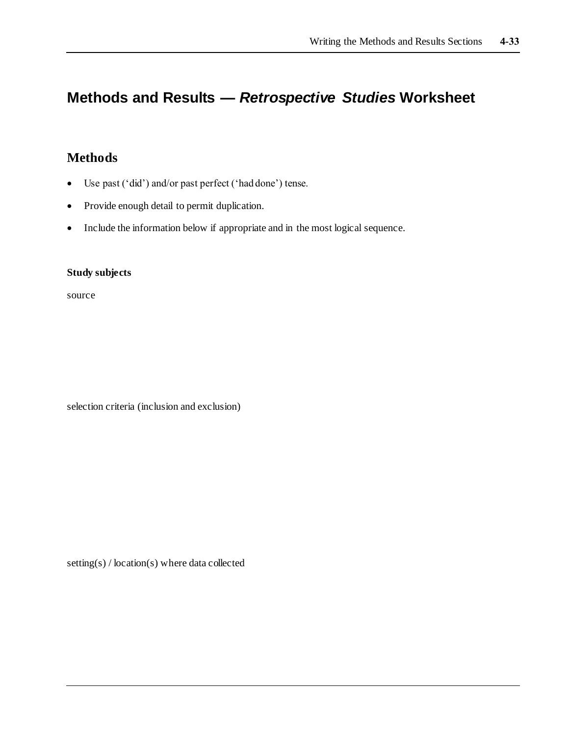# **Methods and Results —** *Retrospective Studies* **Worksheet**

# **Methods**

- Use past ('did') and/or past perfect ('had done') tense.
- Provide enough detail to permit duplication.
- Include the information below if appropriate and in the most logical sequence.

#### **Study subjects**

source

selection criteria (inclusion and exclusion)

setting(s) / location(s) where data collected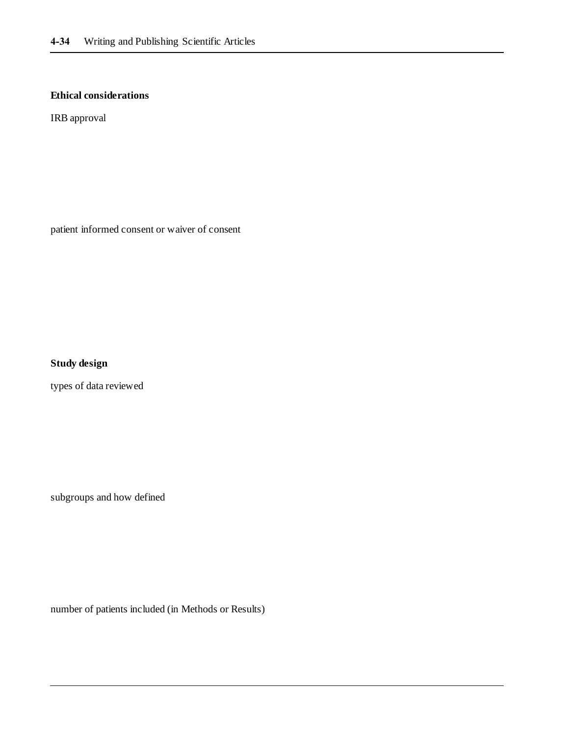#### **Ethical considerations**

IRB approval

patient informed consent or waiver of consent

**Study design**

types of data reviewed

subgroups and how defined

number of patients included (in Methods or Results)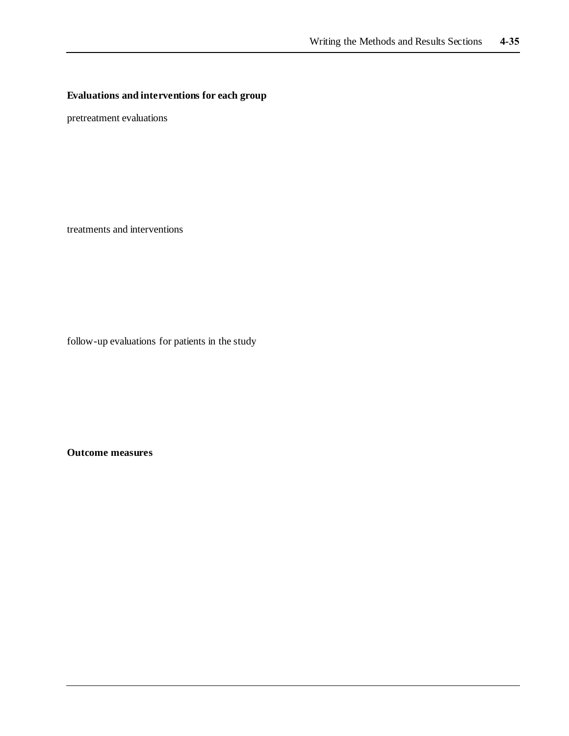## **Evaluations and interventions for each group**

pretreatment evaluations

treatments and interventions

follow-up evaluations for patients in the study

**Outcome measures**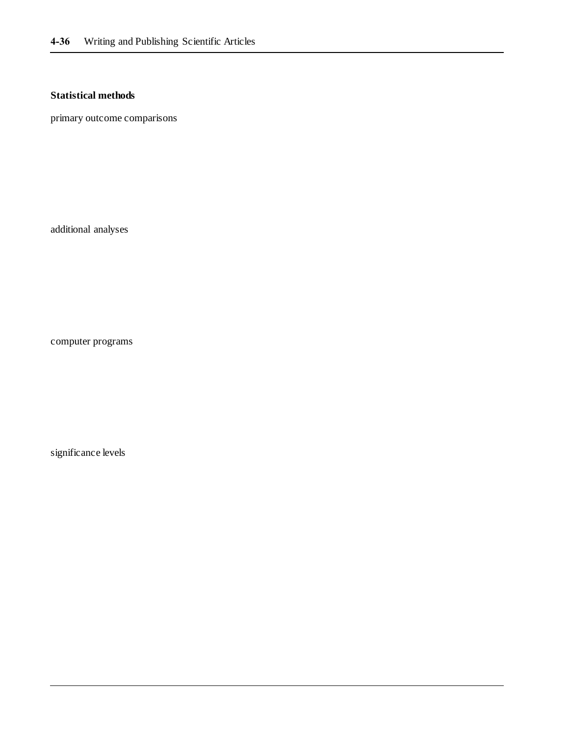# **Statistical methods**

primary outcome comparisons

additional analyses

computer programs

significance levels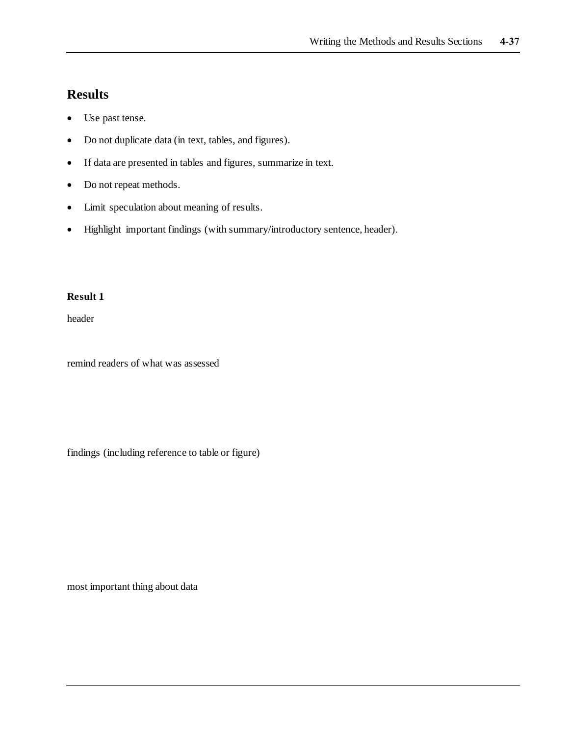- Use past tense.
- Do not duplicate data (in text, tables, and figures).
- If data are presented in tables and figures, summarize in text.
- Do not repeat methods.
- Limit speculation about meaning of results.
- Highlight important findings (with summary/introductory sentence, header).

#### **Result 1**

header

remind readers of what was assessed

findings (including reference to table or figure)

most important thing about data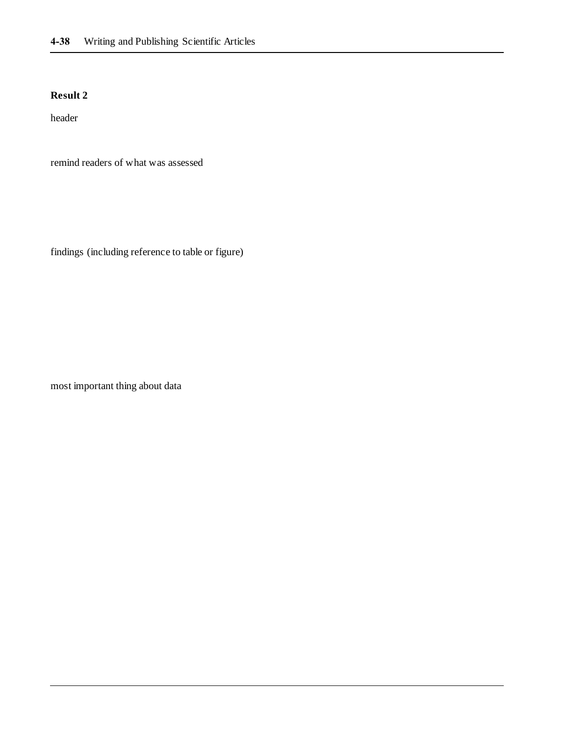header

remind readers of what was assessed

findings (including reference to table or figure)

most important thing about data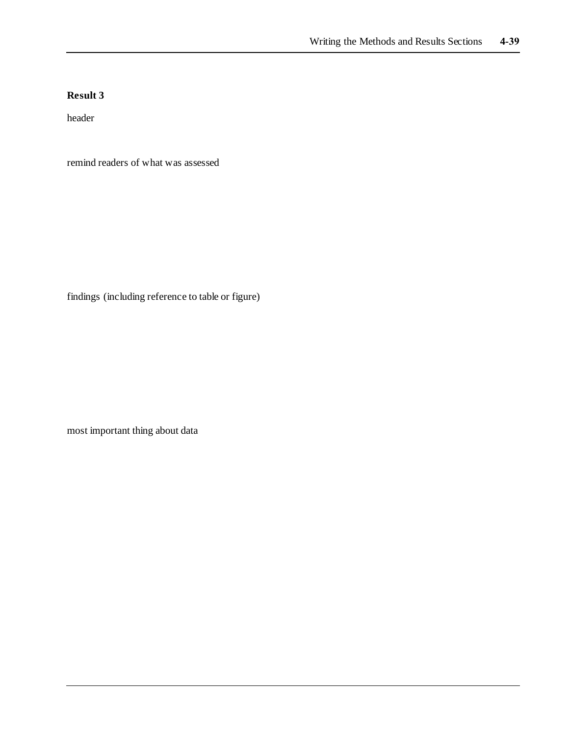header

remind readers of what was assessed

findings (including reference to table or figure)

most important thing about data